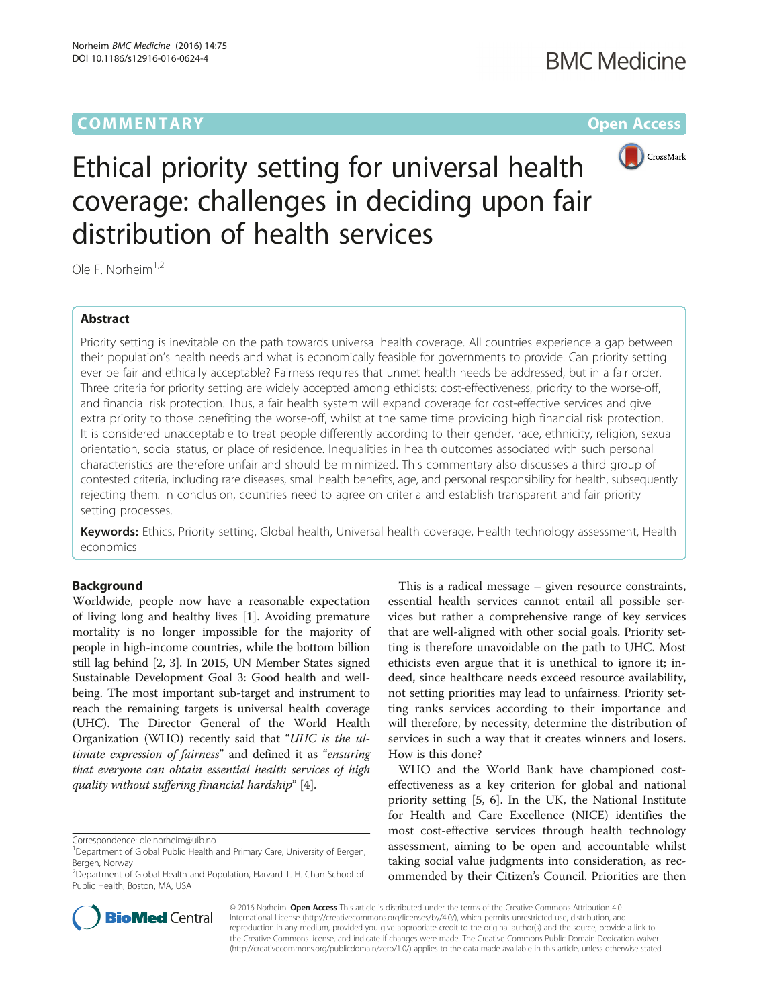# **COMMENTARY COMMENTARY Open Access**



# Ethical priority setting for universal health coverage: challenges in deciding upon fair distribution of health services

Ole F. Norheim<sup>1,2</sup>

# Abstract

Priority setting is inevitable on the path towards universal health coverage. All countries experience a gap between their population's health needs and what is economically feasible for governments to provide. Can priority setting ever be fair and ethically acceptable? Fairness requires that unmet health needs be addressed, but in a fair order. Three criteria for priority setting are widely accepted among ethicists: cost-effectiveness, priority to the worse-off, and financial risk protection. Thus, a fair health system will expand coverage for cost-effective services and give extra priority to those benefiting the worse-off, whilst at the same time providing high financial risk protection. It is considered unacceptable to treat people differently according to their gender, race, ethnicity, religion, sexual orientation, social status, or place of residence. Inequalities in health outcomes associated with such personal characteristics are therefore unfair and should be minimized. This commentary also discusses a third group of contested criteria, including rare diseases, small health benefits, age, and personal responsibility for health, subsequently rejecting them. In conclusion, countries need to agree on criteria and establish transparent and fair priority setting processes.

Keywords: Ethics, Priority setting, Global health, Universal health coverage, Health technology assessment, Health economics

# Background

Worldwide, people now have a reasonable expectation of living long and healthy lives [[1](#page-2-0)]. Avoiding premature mortality is no longer impossible for the majority of people in high-income countries, while the bottom billion still lag behind [[2, 3\]](#page-2-0). In 2015, UN Member States signed Sustainable Development Goal 3: Good health and wellbeing. The most important sub-target and instrument to reach the remaining targets is universal health coverage (UHC). The Director General of the World Health Organization (WHO) recently said that "UHC is the ultimate expression of fairness" and defined it as "ensuring that everyone can obtain essential health services of high quality without suffering financial hardship" [\[4](#page-3-0)].

This is a radical message – given resource constraints, essential health services cannot entail all possible services but rather a comprehensive range of key services that are well-aligned with other social goals. Priority setting is therefore unavoidable on the path to UHC. Most ethicists even argue that it is unethical to ignore it; indeed, since healthcare needs exceed resource availability, not setting priorities may lead to unfairness. Priority setting ranks services according to their importance and will therefore, by necessity, determine the distribution of services in such a way that it creates winners and losers. How is this done?

WHO and the World Bank have championed costeffectiveness as a key criterion for global and national priority setting [\[5](#page-3-0), [6](#page-3-0)]. In the UK, the National Institute for Health and Care Excellence (NICE) identifies the most cost-effective services through health technology assessment, aiming to be open and accountable whilst taking social value judgments into consideration, as recommended by their Citizen's Council. Priorities are then



© 2016 Norheim. Open Access This article is distributed under the terms of the Creative Commons Attribution 4.0 International License [\(http://creativecommons.org/licenses/by/4.0/](http://creativecommons.org/licenses/by/4.0/)), which permits unrestricted use, distribution, and reproduction in any medium, provided you give appropriate credit to the original author(s) and the source, provide a link to the Creative Commons license, and indicate if changes were made. The Creative Commons Public Domain Dedication waiver [\(http://creativecommons.org/publicdomain/zero/1.0/](http://creativecommons.org/publicdomain/zero/1.0/)) applies to the data made available in this article, unless otherwise stated.

Correspondence: [ole.norheim@uib.no](mailto:ole.norheim@uib.no) <sup>1</sup>

<sup>&</sup>lt;sup>1</sup>Department of Global Public Health and Primary Care, University of Bergen, Bergen, Norway

<sup>&</sup>lt;sup>2</sup>Department of Global Health and Population, Harvard T. H. Chan School of Public Health, Boston, MA, USA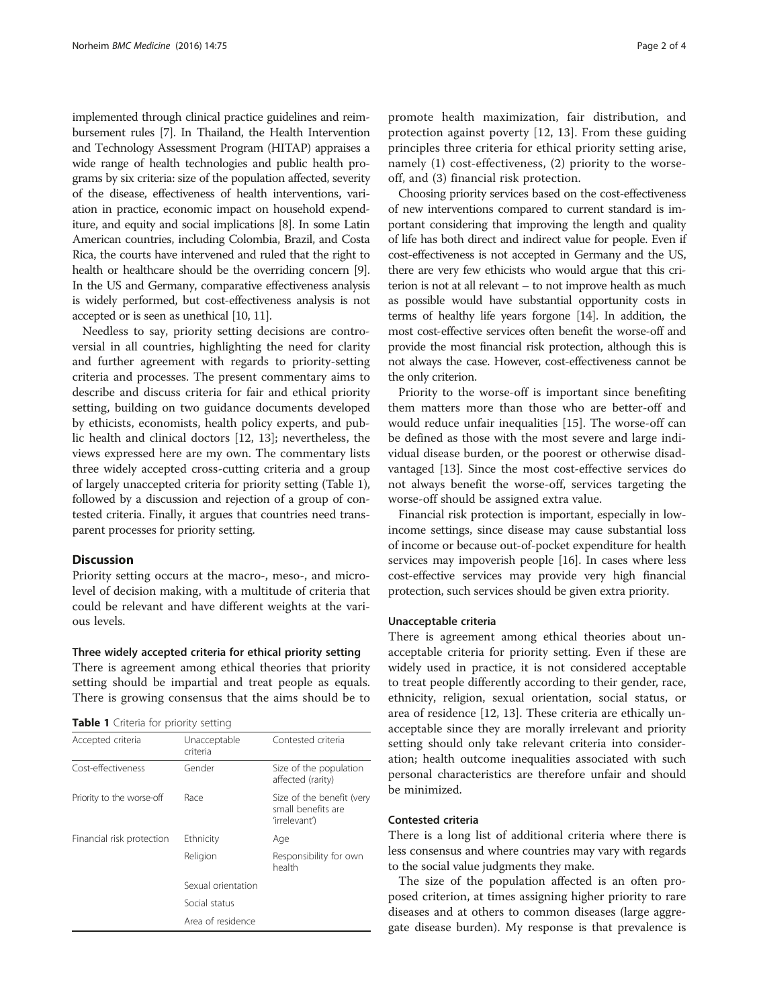implemented through clinical practice guidelines and reimbursement rules [\[7](#page-3-0)]. In Thailand, the Health Intervention and Technology Assessment Program (HITAP) appraises a wide range of health technologies and public health programs by six criteria: size of the population affected, severity of the disease, effectiveness of health interventions, variation in practice, economic impact on household expenditure, and equity and social implications [[8](#page-3-0)]. In some Latin American countries, including Colombia, Brazil, and Costa Rica, the courts have intervened and ruled that the right to health or healthcare should be the overriding concern [[9](#page-3-0)]. In the US and Germany, comparative effectiveness analysis is widely performed, but cost-effectiveness analysis is not accepted or is seen as unethical [\[10](#page-3-0), [11](#page-3-0)].

Needless to say, priority setting decisions are controversial in all countries, highlighting the need for clarity and further agreement with regards to priority-setting criteria and processes. The present commentary aims to describe and discuss criteria for fair and ethical priority setting, building on two guidance documents developed by ethicists, economists, health policy experts, and public health and clinical doctors [\[12](#page-3-0), [13\]](#page-3-0); nevertheless, the views expressed here are my own. The commentary lists three widely accepted cross-cutting criteria and a group of largely unaccepted criteria for priority setting (Table 1), followed by a discussion and rejection of a group of contested criteria. Finally, it argues that countries need transparent processes for priority setting.

#### **Discussion**

Priority setting occurs at the macro-, meso-, and microlevel of decision making, with a multitude of criteria that could be relevant and have different weights at the various levels.

# Three widely accepted criteria for ethical priority setting

There is agreement among ethical theories that priority setting should be impartial and treat people as equals. There is growing consensus that the aims should be to

| Accepted criteria         | Unacceptable<br>criteria | Contested criteria                                               |
|---------------------------|--------------------------|------------------------------------------------------------------|
| Cost-effectiveness        | Gender                   | Size of the population<br>affected (rarity)                      |
| Priority to the worse-off | Race                     | Size of the benefit (very<br>small benefits are<br>'irrelevant') |
| Financial risk protection | Ethnicity                | Age                                                              |
|                           | Religion                 | Responsibility for own<br>health                                 |
|                           | Sexual orientation       |                                                                  |
|                           | Social status            |                                                                  |
|                           | Area of residence        |                                                                  |

promote health maximization, fair distribution, and protection against poverty [[12, 13\]](#page-3-0). From these guiding principles three criteria for ethical priority setting arise, namely (1) cost-effectiveness, (2) priority to the worseoff, and (3) financial risk protection.

Choosing priority services based on the cost-effectiveness of new interventions compared to current standard is important considering that improving the length and quality of life has both direct and indirect value for people. Even if cost-effectiveness is not accepted in Germany and the US, there are very few ethicists who would argue that this criterion is not at all relevant – to not improve health as much as possible would have substantial opportunity costs in terms of healthy life years forgone [\[14\]](#page-3-0). In addition, the most cost-effective services often benefit the worse-off and provide the most financial risk protection, although this is not always the case. However, cost-effectiveness cannot be the only criterion.

Priority to the worse-off is important since benefiting them matters more than those who are better-off and would reduce unfair inequalities [[15](#page-3-0)]. The worse-off can be defined as those with the most severe and large individual disease burden, or the poorest or otherwise disadvantaged [\[13](#page-3-0)]. Since the most cost-effective services do not always benefit the worse-off, services targeting the worse-off should be assigned extra value.

Financial risk protection is important, especially in lowincome settings, since disease may cause substantial loss of income or because out-of-pocket expenditure for health services may impoverish people [\[16](#page-3-0)]. In cases where less cost-effective services may provide very high financial protection, such services should be given extra priority.

### Unacceptable criteria

There is agreement among ethical theories about unacceptable criteria for priority setting. Even if these are widely used in practice, it is not considered acceptable to treat people differently according to their gender, race, ethnicity, religion, sexual orientation, social status, or area of residence [[12, 13\]](#page-3-0). These criteria are ethically unacceptable since they are morally irrelevant and priority setting should only take relevant criteria into consideration; health outcome inequalities associated with such personal characteristics are therefore unfair and should be minimized.

# Contested criteria

There is a long list of additional criteria where there is less consensus and where countries may vary with regards to the social value judgments they make.

The size of the population affected is an often proposed criterion, at times assigning higher priority to rare diseases and at others to common diseases (large aggregate disease burden). My response is that prevalence is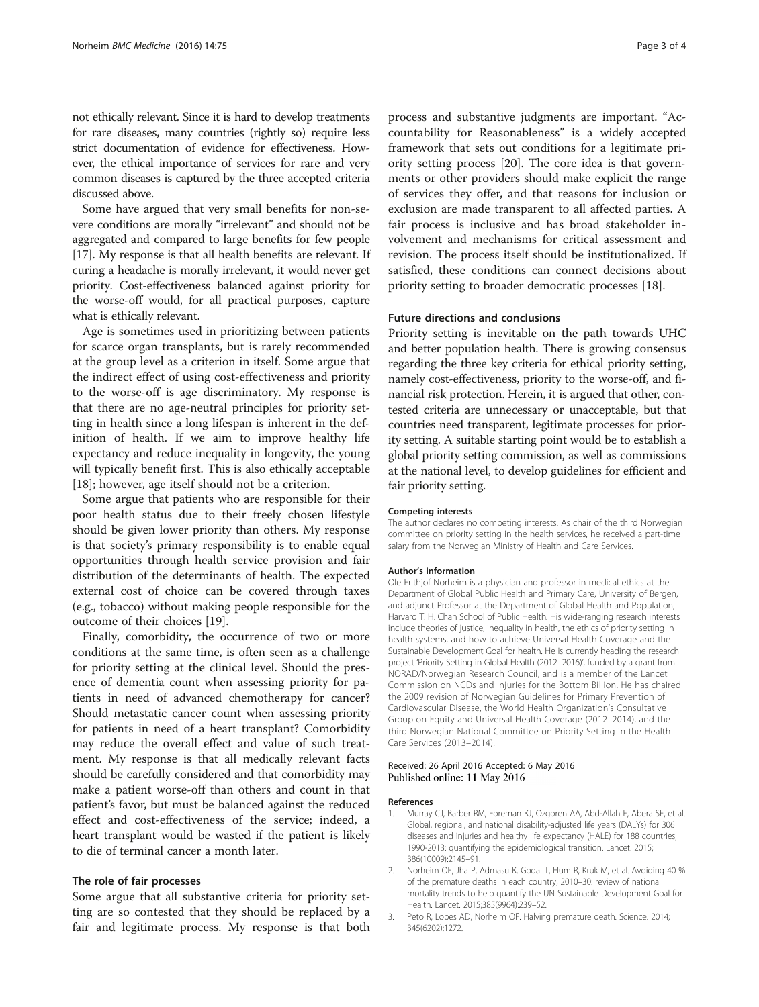<span id="page-2-0"></span>not ethically relevant. Since it is hard to develop treatments for rare diseases, many countries (rightly so) require less strict documentation of evidence for effectiveness. However, the ethical importance of services for rare and very common diseases is captured by the three accepted criteria discussed above.

Some have argued that very small benefits for non-severe conditions are morally "irrelevant" and should not be aggregated and compared to large benefits for few people [[17](#page-3-0)]. My response is that all health benefits are relevant. If curing a headache is morally irrelevant, it would never get priority. Cost-effectiveness balanced against priority for the worse-off would, for all practical purposes, capture what is ethically relevant.

Age is sometimes used in prioritizing between patients for scarce organ transplants, but is rarely recommended at the group level as a criterion in itself. Some argue that the indirect effect of using cost-effectiveness and priority to the worse-off is age discriminatory. My response is that there are no age-neutral principles for priority setting in health since a long lifespan is inherent in the definition of health. If we aim to improve healthy life expectancy and reduce inequality in longevity, the young will typically benefit first. This is also ethically acceptable [[18\]](#page-3-0); however, age itself should not be a criterion.

Some argue that patients who are responsible for their poor health status due to their freely chosen lifestyle should be given lower priority than others. My response is that society's primary responsibility is to enable equal opportunities through health service provision and fair distribution of the determinants of health. The expected external cost of choice can be covered through taxes (e.g., tobacco) without making people responsible for the outcome of their choices [\[19](#page-3-0)].

Finally, comorbidity, the occurrence of two or more conditions at the same time, is often seen as a challenge for priority setting at the clinical level. Should the presence of dementia count when assessing priority for patients in need of advanced chemotherapy for cancer? Should metastatic cancer count when assessing priority for patients in need of a heart transplant? Comorbidity may reduce the overall effect and value of such treatment. My response is that all medically relevant facts should be carefully considered and that comorbidity may make a patient worse-off than others and count in that patient's favor, but must be balanced against the reduced effect and cost-effectiveness of the service; indeed, a heart transplant would be wasted if the patient is likely to die of terminal cancer a month later.

# The role of fair processes

Some argue that all substantive criteria for priority setting are so contested that they should be replaced by a fair and legitimate process. My response is that both

process and substantive judgments are important. "Accountability for Reasonableness" is a widely accepted framework that sets out conditions for a legitimate priority setting process [[20\]](#page-3-0). The core idea is that governments or other providers should make explicit the range of services they offer, and that reasons for inclusion or exclusion are made transparent to all affected parties. A fair process is inclusive and has broad stakeholder involvement and mechanisms for critical assessment and revision. The process itself should be institutionalized. If satisfied, these conditions can connect decisions about priority setting to broader democratic processes [\[18\]](#page-3-0).

# Future directions and conclusions

Priority setting is inevitable on the path towards UHC and better population health. There is growing consensus regarding the three key criteria for ethical priority setting, namely cost-effectiveness, priority to the worse-off, and financial risk protection. Herein, it is argued that other, contested criteria are unnecessary or unacceptable, but that countries need transparent, legitimate processes for priority setting. A suitable starting point would be to establish a global priority setting commission, as well as commissions at the national level, to develop guidelines for efficient and fair priority setting.

#### Competing interests

The author declares no competing interests. As chair of the third Norwegian committee on priority setting in the health services, he received a part-time salary from the Norwegian Ministry of Health and Care Services.

#### Author's information

Ole Frithjof Norheim is a physician and professor in medical ethics at the Department of Global Public Health and Primary Care, University of Bergen, and adjunct Professor at the Department of Global Health and Population, Harvard T. H. Chan School of Public Health. His wide-ranging research interests include theories of justice, inequality in health, the ethics of priority setting in health systems, and how to achieve Universal Health Coverage and the Sustainable Development Goal for health. He is currently heading the research project 'Priority Setting in Global Health (2012–2016)', funded by a grant from NORAD/Norwegian Research Council, and is a member of the Lancet Commission on NCDs and Injuries for the Bottom Billion. He has chaired the 2009 revision of Norwegian Guidelines for Primary Prevention of Cardiovascular Disease, the World Health Organization's Consultative Group on Equity and Universal Health Coverage (2012–2014), and the third Norwegian National Committee on Priority Setting in the Health Care Services (2013–2014).

## Received: 26 April 2016 Accepted: 6 May 2016 Published online: 11 May 2016

### References

- 1. Murray CJ, Barber RM, Foreman KJ, Ozgoren AA, Abd-Allah F, Abera SF, et al. Global, regional, and national disability-adjusted life years (DALYs) for 306 diseases and injuries and healthy life expectancy (HALE) for 188 countries, 1990-2013: quantifying the epidemiological transition. Lancet. 2015; 386(10009):2145–91.
- 2. Norheim OF, Jha P, Admasu K, Godal T, Hum R, Kruk M, et al. Avoiding 40 % of the premature deaths in each country, 2010–30: review of national mortality trends to help quantify the UN Sustainable Development Goal for Health. Lancet. 2015;385(9964):239–52.
- 3. Peto R, Lopes AD, Norheim OF. Halving premature death. Science. 2014; 345(6202):1272.